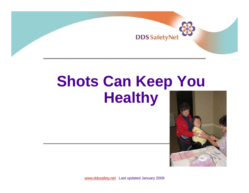

## **Shots Can Keep You Healthy**



www.ddssafety.net Last updated January 2009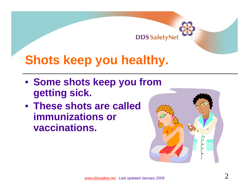

#### **Shots keep you healthy.**

- **Some shots keep you from getting sick.**
- **These shots are called immunizations or vaccinations.**

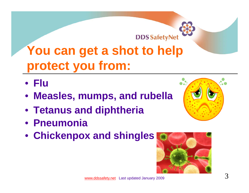

#### **You can get a shot to help protect you from:**

- **Flu**
- **Measles, mumps, and rubella**
- **Tetanus and diphtheria**
- **Pneumonia**
- **Chickenpox and shingles**



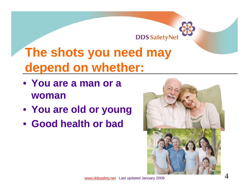# **DDS SafetyNet**

### **The shots you need may depend on whether:**

- **You are a man or a woman**
- **You are old or young**
- **Good health or bad**

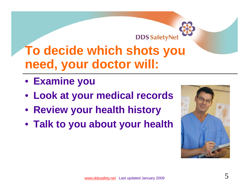

#### **To decide which shots you need, your doctor will:**

- **Examine you**
- **Look at your medical records**
- **Review your health history**
- **Talk to you about your health**

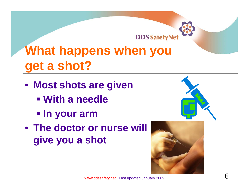

### **What happens when you get a shot?**

- **Most shots are given**
	- **With a needle**
	- **In your arm**
- **The doctor or nurse will give you a shot**



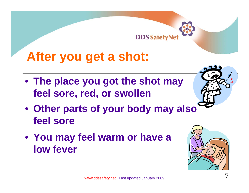

#### **After you get a shot:**

- **The place you got the shot may feel sore, red, or swollen**
- **Other parts of your body may also feel sore**
- **You may feel warm or have a low fever**

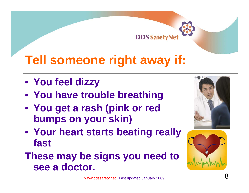#### **DDS SafetyNe**

#### **Tell someone right away if:**

- **You feel dizzy**
- **You have trouble breathing**
- **You get a rash (pink or red bumps on your skin)**
- **Your heart starts beating really fast**
- **These may be signs you need to see a doctor.**